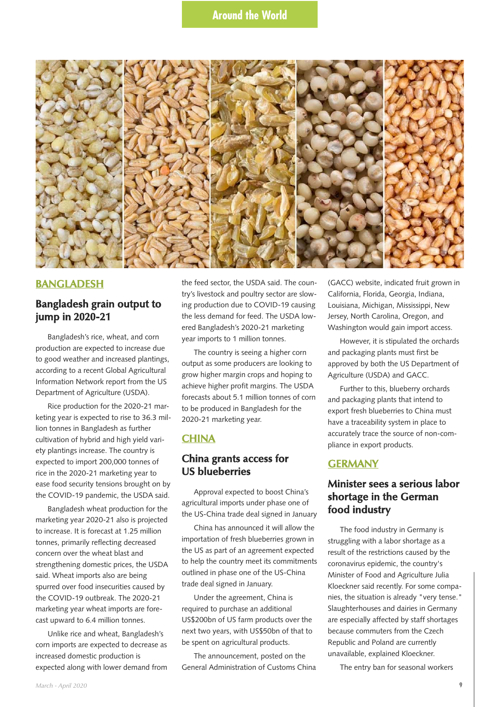

#### **BANGLADESH**

### **Bangladesh grain output to jump in 2020-21**

Bangladesh's rice, wheat, and corn production are expected to increase due to good weather and increased plantings, according to a recent Global Agricultural Information Network report from the US Department of Agriculture (USDA).

Rice production for the 2020-21 marketing year is expected to rise to 36.3 million tonnes in Bangladesh as further cultivation of hybrid and high yield variety plantings increase. The country is expected to import 200,000 tonnes of rice in the 2020-21 marketing year to ease food security tensions brought on by the COVID-19 pandemic, the USDA said.

Bangladesh wheat production for the marketing year 2020-21 also is projected to increase. It is forecast at 1.25 million tonnes, primarily reflecting decreased concern over the wheat blast and strengthening domestic prices, the USDA said. Wheat imports also are being spurred over food insecurities caused by the COVID-19 outbreak. The 2020-21 marketing year wheat imports are forecast upward to 6.4 million tonnes.

Unlike rice and wheat, Bangladesh's corn imports are expected to decrease as increased domestic production is expected along with lower demand from the feed sector, the USDA said. The country's livestock and poultry sector are slowing production due to COVID-19 causing the less demand for feed. The USDA lowered Bangladesh's 2020-21 marketing year imports to 1 million tonnes.

The country is seeing a higher corn output as some producers are looking to grow higher margin crops and hoping to achieve higher profit margins. The USDA forecasts about 5.1 million tonnes of corn to be produced in Bangladesh for the 2020-21 marketing year.

#### **CHINA**

### **China grants access for US blueberries**

Approval expected to boost China's agricultural imports under phase one of the US-China trade deal signed in January

China has announced it will allow the importation of fresh blueberries grown in the US as part of an agreement expected to help the country meet its commitments outlined in phase one of the US-China trade deal signed in January.

Under the agreement, China is required to purchase an additional US\$200bn of US farm products over the next two years, with US\$50bn of that to be spent on agricultural products.

The announcement, posted on the General Administration of Customs China

(GACC) website, indicated fruit grown in California, Florida, Georgia, Indiana, Louisiana, Michigan, Mississippi, New Jersey, North Carolina, Oregon, and Washington would gain import access.

However, it is stipulated the orchards and packaging plants must first be approved by both the US Department of Agriculture (USDA) and GACC.

Further to this, blueberry orchards and packaging plants that intend to export fresh blueberries to China must have a traceability system in place to accurately trace the source of non-compliance in export products.

#### **GERMANY**

# **Minister sees a serious labor shortage in the German food industry**

The food industry in Germany is struggling with a labor shortage as a result of the restrictions caused by the coronavirus epidemic, the country's Minister of Food and Agriculture Julia Kloeckner said recently. For some companies, the situation is already "very tense." Slaughterhouses and dairies in Germany are especially affected by staff shortages because commuters from the Czech Republic and Poland are currently unavailable, explained Kloeckner.

The entry ban for seasonal workers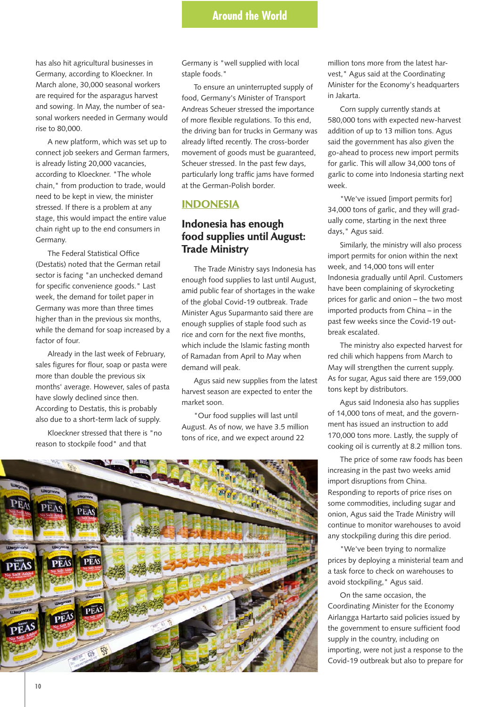has also hit agricultural businesses in Germany, according to Kloeckner. In March alone, 30,000 seasonal workers are required for the asparagus harvest and sowing. In May, the number of seasonal workers needed in Germany would rise to 80,000.

A new platform, which was set up to connect job seekers and German farmers, is already listing 20,000 vacancies, according to Kloeckner. "The whole chain," from production to trade, would need to be kept in view, the minister stressed. If there is a problem at any stage, this would impact the entire value chain right up to the end consumers in Germany.

The Federal Statistical Office (Destatis) noted that the German retail sector is facing "an unchecked demand for specific convenience goods." Last week, the demand for toilet paper in Germany was more than three times higher than in the previous six months, while the demand for soap increased by a factor of four.

Already in the last week of February, sales figures for flour, soap or pasta were more than double the previous six months' average. However, sales of pasta have slowly declined since then. According to Destatis, this is probably also due to a short-term lack of supply.

Kloeckner stressed that there is "no reason to stockpile food" and that

Germany is "well supplied with local staple foods."

To ensure an uninterrupted supply of food, Germany's Minister of Transport Andreas Scheuer stressed the importance of more flexible regulations. To this end, the driving ban for trucks in Germany was already lifted recently. The cross-border movement of goods must be guaranteed, Scheuer stressed. In the past few days, particularly long traffic jams have formed at the German-Polish border.

### **INDONESIA**

# **Indonesia has enough food supplies until August: Trade Ministry**

The Trade Ministry says Indonesia has enough food supplies to last until August, amid public fear of shortages in the wake of the global Covid-19 outbreak. Trade Minister Agus Suparmanto said there are enough supplies of staple food such as rice and corn for the next five months, which include the Islamic fasting month of Ramadan from April to May when demand will peak.

Agus said new supplies from the latest harvest season are expected to enter the market soon.

"Our food supplies will last until August. As of now, we have 3.5 million tons of rice, and we expect around 22



million tons more from the latest harvest," Agus said at the Coordinating Minister for the Economy's headquarters in Jakarta.

Corn supply currently stands at 580,000 tons with expected new-harvest addition of up to 13 million tons. Agus said the government has also given the go-ahead to process new import permits for garlic. This will allow 34,000 tons of garlic to come into Indonesia starting next week.

"We've issued [import permits for] 34,000 tons of garlic, and they will gradually come, starting in the next three days," Agus said.

Similarly, the ministry will also process import permits for onion within the next week, and 14,000 tons will enter Indonesia gradually until April. Customers have been complaining of skyrocketing prices for garlic and onion – the two most imported products from China – in the past few weeks since the Covid-19 outbreak escalated.

The ministry also expected harvest for red chili which happens from March to May will strengthen the current supply. As for sugar, Agus said there are 159,000 tons kept by distributors.

Agus said Indonesia also has supplies of 14,000 tons of meat, and the government has issued an instruction to add 170,000 tons more. Lastly, the supply of cooking oil is currently at 8.2 million tons.

The price of some raw foods has been increasing in the past two weeks amid import disruptions from China. Responding to reports of price rises on some commodities, including sugar and onion, Agus said the Trade Ministry will continue to monitor warehouses to avoid any stockpiling during this dire period.

"We've been trying to normalize prices by deploying a ministerial team and a task force to check on warehouses to avoid stockpiling," Agus said.

On the same occasion, the Coordinating Minister for the Economy Airlangga Hartarto said policies issued by the government to ensure sufficient food supply in the country, including on importing, were not just a response to the Covid-19 outbreak but also to prepare for